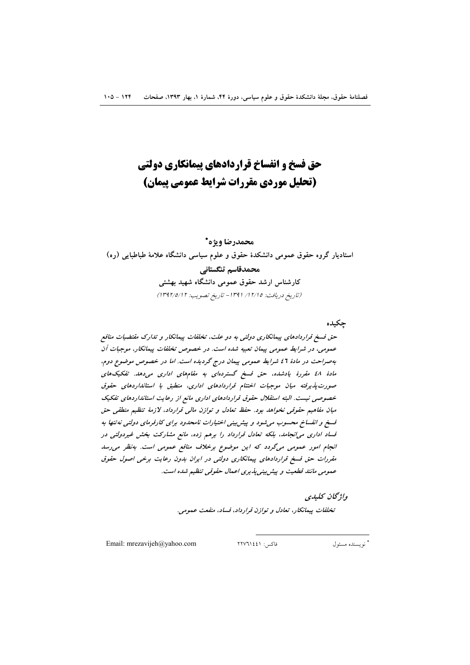# حق فسخ و انفساخ قراردادهای پیمانکاری دولتی (تحلیل موردی مقررات شرایط عمومی پیمان)

# محمدرضا ويژه\*

استادیار گروه حقوق عمومی دانشکدهٔ حقوق و علوم سیاسی دانشگاه علامهٔ طباطبایی (ره) محمدقاسم تنگستانی کارشناس ارشد حقوق عمومی دانشگاه شهید بهشتی (تاريخ دريافت: ١٢/١٥/ ١٣٩١ - تاريخ تصويب: ١٣٩٢/٥/١٣

چکیده

حق فسخ قراردادهای پیمانکاری دولتی به دو علت، تخلفات پیمانکار و تدارک مقتضیات منافع عمومی، در شرایط عمومی پیمان تعبیه شده است. در خصوص تخلفات پیمانکار، موجبات آن بهصراحت در مادهٔ ۶1 شرایط عمومی پیمان درج گردیده است. اما در خصوص موضوع دوم، مادهٔ ٤٨ مقررهٔ یادشده، حق فسخ گستردهای به مقامهای اداری میدهد. تفکیکهای صورت پذیرفته میان موجبات اختتام قراردادهای اداری، منطبق با استانداردهای حقوق خصوصی نیست. البته استقلال حقوق قراردادهای اداری مانع از رعایت استانداردهای تفکیک میان مفاهیم حقوقی نخواهد بود. حفظ تعادل و توازن مالی قرارداد، لازمهٔ تنظیم منطقی حق قسخ و انفساخ محسوب می شود و پیش بینی اختیارات نامحدود برای کارفرمای دولتی نه تنها به قساد اداری میانجامد، بلکه تعادل قرارداد را برهم زده، مانع مشارکت بخش غیردولتی در انجام امور عمومی میگردد که این موضوع برخلاف منافع عمومی است. بهنظر می رسد مقررات حق فسخ قراردادهای پیمانکاری دولتی در ایران بدون رعایت برخی اصول حقوق عمومی مانند قطعیت و پیش بینی پذیری اعمال حقوقی تنظیم شده است.

واژ گان كىلىدى

تخلفات پیمانکار، تعادل و توازن قرارداد، فساد، منفعت عمومی.

Email: mrezavijeh@yahoo.com

فاكس: ٢٢٧٦١٤٤١

\* نو يسنده مسئول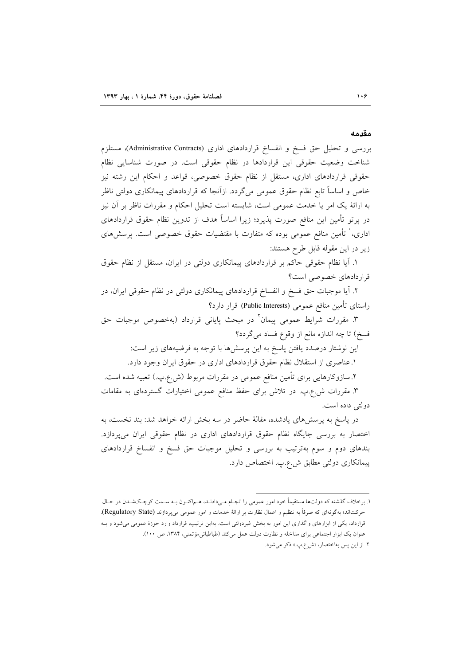#### مقدمه

بررسی و تحلیل حق فسخ و انفساخ قراردادهای اداری (Administrative Contracts)، مستلزم شناخت وضعیت حقوقی این قراردادها در نظام حقوقی است. در صورت شناسایی نظام حقوقی قراردادهای اداری، مستقل از نظام حقوق خصوصی، قواعد و احکام این رشته نیز خاص و اساساً تابع نظام حقوق عمومی میگردد. ازآنجا که قراردادهای پیمانکاری دولتی ناظر به ارائهٔ یک امر یا خدمت عمومی است، شایسته است تحلیل احکام و مقررات ناظر بر آن نیز در پرتو تأمین این منافع صورت پذیرد؛ زیرا اساساً هدف از تدوین نظام حقوق قراردادهای اداری،<sup>۱</sup> تأمین منافع عموم<sub>ی</sub> بوده که متفاوت با مقتضیات حقوق خصوصی است. پرسشهای زير در اين مقوله قابل طرح هستند:

١. أيا نظام حقوقي حاكم بر قراردادهاي پيمانكاري دولتي در ايران، مستقل از نظام حقوق قرار دادهای خصوصی است؟

۲. آیا موجبات حق فسخ و انفساخ قراردادهای پیمانکاری دولتی در نظام حقوقی ایران، در راستای تأمین منافع عمومی (Public Interests) قرار دارد؟

۳. مقررات شرایط عمومی پیمان<sup>۲</sup> در مبحث پایانی قرارداد (بهخصوص موجبات حق فسخ) تا چه اندازه مانع از وقوع فساد میگردد؟

این نوشتار درصدد یافتن پاسخ به این پرسشها با توجه به فرضیههای زیر است: ١. عناصري از استقلال نظام حقوق قراردادهاي اداري در حقوق ايران وجود دارد.

۲.سازوکارهایی برای تأمین منافع عمومی در مقررات مربوط (ش.ع.پ.) تعبیه شده است.

۳. مقررات ش.ع.ب. در تلاش برای حفظ منافع عمومی اختیارات گستردهای به مقامات دولتي داده است.

در پاسخ به پرسشهای یادشده، مقالهٔ حاضر در سه بخش ارائه خواهد شد: بند نخست، به اختصار به بررسی جایگاه نظام حقوق قراردادهای اداری در نظام حقوقی ایران میپردازد. بندهای دوم و سوم بهترتیب به بررسی و تحلیل موجبات حق فسخ و انفساخ قراردادهای ييمانكاري دولتي مطابق ش.ع.ب. اختصاص دارد.

۱. برخلاف گذشته که دولتها مستقیماً خود امور عمومی را انجـام مـیدادنـد، هـماکنـون بـه سـمت کوچـکشـدن در حـال حرکتاند؛ بهگونهای که صرفاً به تنظیم و اعمال نظارت بر ارائهٔ خدمات و امور عمومی می,پردازند (Regulatory State). قرارداد، یکی از ابزارهای واگذاری این امور به بخش غیردولتی است. بهاین ترتیب، قرارداد وارد حوزهٔ عمومی میشود و بـه عنوان یک ابزار اجتماعی برای مداخله و نظارت دولت عمل میکند (طباطبائیمؤتمنی، ۱۳۸۴، ص ۱۰۰). ۲. از این پس بهاختصار، «ش.ع.پ.» ذکر می شود.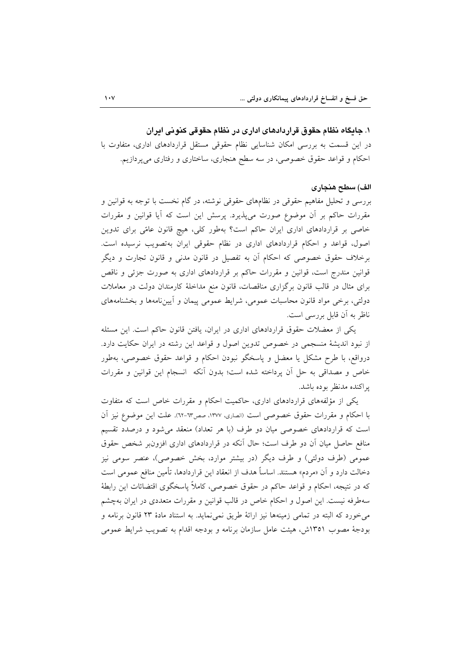۱. جایگاه نظام حقوق قراردادهای اداری در نظام حقوقی کنونی ایران در این قسمت به بررسی امکان شناسایی نظام حقوقی مستقل قراردادهای اداری، متفاوت با احکام و قواعد حقوق خصوصی، در سه سطح هنجاری، ساختاری و رفتاری میپردازیم.

## الف) سطح هنجاري

بررسی و تحلیل مفاهیم حقوقی در نظامهای حقوقی نوشته، در گام نخست با توجه به قوانین و مقررات حاکم بر اَن موضوع صورت میپذیرد. پرسش این است که اَیا قوانین و مقررات خاصی بر قراردادهای اداری ایران حاکم است؟ بهطور کلی، هیچ قانون عامًی برای تدوین اصول، قواعد و احكام قراردادهاى ادارى در نظام حقوقى ايران بهتصويب نرسيده است. برخلاف حقوق خصوصی که احکام آن به تفصیل در قانون مدنی و قانون تجارت و دیگر قوانین مندرج است، قوانین و مقررات حاکم بر قراردادهای اداری به صورت جزئی و ناقص برای مثال در قالب قانون برگزاری مناقصات، قانون منع مداخلهٔ کارمندان دولت در معاملات دولتی، برخی مواد قانون محاسبات عمومی، شرایط عمومی پیمان و آییننامهها و بخشنامههای ناظر به آن قابل بررسی است.

یکی از معضلات حقوق قراردادهای اداری در ایران، یافتن قانون حاکم است. این مسئله از نبود اندیشهٔ منسجمی در خصوص تدوین اصول و قواعد این رشته در ایران حکایت دارد. درواقع، با طرح مشكل يا معضل و ياسخگو نبودن احكام و قواعد حقوق خصوصي، بهطور خاص و مصداقی به حل آن پرداخته شده است؛ بدون آنکه انسجام این قوانین و مقررات يراكنده مدنظر بوده باشد.

یکی از مؤلفههای قراردادهای اداری، حاکمیت احکام و مقررات خاص است که متفاوت با احکام و مقررات حقوق خصوصی است (انصاری، ١٣٧٧، صص٣٦-٦٢). علت این موضوع نیز آن است که قراردادهای خصوصی میان دو طرف (با هر تعداد) منعقد میشود و درصدد تقسیم منافع حاصل میان آن دو طرف است؛ حال آنکه در قراردادهای اداری افزونبر شخص حقوق عمومي (طرف دولتي) و طرف ديگر (در بيشتر موارد، بخش خصوصي)، عنصر سومي نيز دخالت دارد و آن «مردم» هستند. اساساً هدف از انعقاد این قراردادها، تأمین منافع عمومی است که در نتیجه، احکام و قواعد حاکم در حقوق خصوصی، کاملاً پاسخگوی اقتضائات این رابطهٔ سهطرفه نیست. این اصول و احکام خاص در قالب قوانین و مقررات متعددی در ایران بهچشم مي خورد كه البته در تمامي زمينهها نيز ارائهٔ طريق نمي نمايد. به استناد مادهٔ ۲۳ قانون برنامه و بودجهٔ مصوب ۱۳۵۱ش، هیئت عامل سازمان برنامه و بودجه اقدام به تصویب شرایط عمومی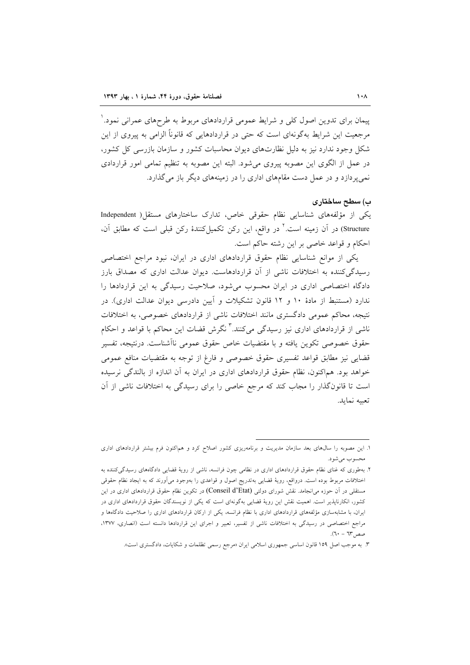پیمان برای تدوین اصول کلی و شرایط عمومی قراردادهای مربوط به طرحهای عمرانی نمود. ٰ مرجعیت این شرایط بهگونهای است که حتی در قراردادهایی که قانوناً الزامی به پیروی از این شکا وجود ندارد نیز به دلیل نظارتهای دیوان محاسبات کشور و سازمان بازرسی کل کشور، در عمل از الگوی این مصوبه پیروی می شود. البته این مصوبه به تنظیم تمامی امور قراردادی نمی پردازد و در عمل دست مقامهای اداری را در زمینههای دیگر باز می گذارد.

#### ب) سطح ساختاری

یکی از مؤلفههای شناسایی نظام حقوقی خاص، تدارک ساختارهای مستقل( Independent Structure) در آن زمینه است.<sup>۲</sup> در واقع، این رکن تکمیلکنندهٔ رکن قبلی است که مطابق آن، احکام و قواعد خاصی بر این رشته حاکم است.

یکی از موانع شناسایی نظام حقوق قراردادهای اداری در ایران، نبود مراجع اختصاصی رسیدگی کننده به اختلافات ناشی از آن قراردادهاست. دیوان عدالت اداری که مصداق بارز دادگاه اختصاصی اداری در ایران محسوب می شود، صلاحیت رسیدگی به این قراردادها را ندارد (مستنبط از مادهٔ ۱۰ و ۱۲ قانون تشکیلات و آیین دادرسی دیوان عدالت اداری). در نتیجه، محاکم عمومی دادگستری مانند اختلافات ناشی از قراردادهای خصوصی، به اختلافات ناشی از قراردادهای اداری نیز رسیدگی میکنند.<sup>۳</sup> نگرش قضات این محاکم با قواعد و احکام حقوق خصوصی تکوین یافته و با مقتضیات خاص حقوق عمومی ناآشناست. درنتیجه، تفسیر قضایی نیز مطابق قواعد تفسیری حقوق خصوصی و فارغ از توجه به مقتضیات منافع عمومی خواهد بود. هماکنون، نظام حقوق قراردادهای اداری در ایران به آن اندازه از بالندگی نرسیده است تا قانونگذار را مجاب کند که مرجع خاصی را برای رسیدگی به اختلافات ناشی از آن تعيبه نمايد.

۱. این مصوبه را سال@ای بعد سازمان مدیریت و برنامهریزی کشور اصلاح کرد و هم|کنون فرم بیشتر قراردادهای اداری محسوب مي شود.

۲. بهطوری که غنای نظام حقوق قراردادهای اداری در نظامی چون فرانسه، ناشی از رویهٔ قضایی دادگاههای رسیدگیکننده به اختلافات مربوط بوده است. درواقع، رويهٔ قضايي بهتدريج اصول و قواعدي را بهوجود مي∫ورند که به ايجاد نظام حقوقي مستقلی در آن حوزه می|نجامد. نقش شورای دولتی (Conseil d'Etat) در تکوین نظام حقوق قراردادهای اداری در این کشور، انکارناپذیر است. اهمیت نقش این رویهٔ قضایی بهگونهای است که یکی از نویسندگان حقوق قراردادهای اداری در ایران، با مشابهسازی مؤلفههای قراردادهای اداری با نظام فرانسه، یکی از ارکان قراردادهای اداری را صلاحیت دادگاهها و مراجع اختصاصی در رسیدگی به اختلافات ناشی از تفسیر، تعبیر و اجرای این قراردادها دانسته است (انصاری، ۱۳۷۷،  $(T - T^*)$ صص

۳. به موجب اصل ۱۵۹ قانون اساسی جمهوری اسلامی ایران «مرجع رسمی تظلمات و شکایات، دادگستری است».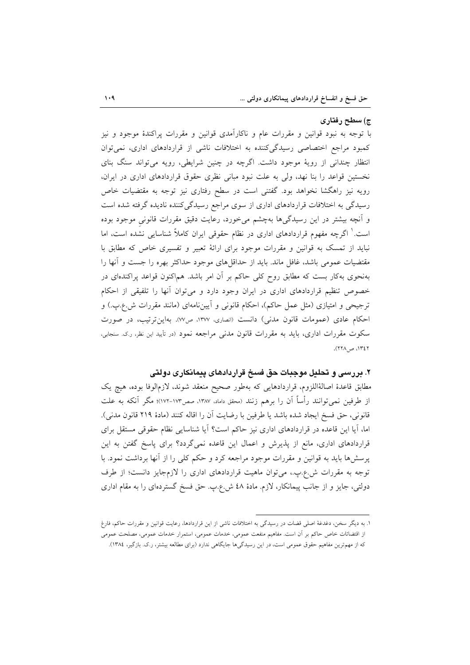#### ج) سطح رفتاری

با توجه به نبود قوانین و مقررات عام و ناکارآمدی قوانین و مقررات پراکندهٔ موجود و نیز کمبود مراجع اختصاصی رسیدگی کننده به اختلافات ناشی از قراردادهای اداری، نمی توان انتظار چندانی از رویهٔ موجود داشت. اگرچه در چنین شرایطی، رویه می تواند سنگ بنای نخستین قواعد را بنا نهد، ولی به علت نبود مبانی نظری حقوق قراردادهای اداری در ایران، رویه نیز راهگشا نخواهد بود. گفتنی است در سطح رفتاری نیز توجه به مقتضیات خاص رسیدگی به اختلافات قراردادهای اداری از سوی مراجع رسیدگی کننده نادیده گرفته شده است و آنچه بیشتر در این رسیدگیها بهچشم میخورد، رعایت دقیق مقررات قانونی موجود بوده است. ٰ اگرچه مفهوم قراردادهای اداری در نظام حقوقی ایران کاملاً شناسایی نشده است، اما نباید از تمسک به قوانین و مقررات موجود برای ارائهٔ تعبیر و تفسیری خاص که مطابق با مقتضیات عمومی باشد، غافل ماند. باید از حداقل۵عای موجود حداکثر بهره را جست و آنها را بهنحوی بهکار بست که مطابق روح کلی حاکم بر آن امر باشد. هماکنون قواعد پراکندهای در خصوص تنظیم قراردادهای اداری در ایران وجود دارد و می توان آنها را تلفیقی از احکام ترجیحی و امتیازی (مثل عمل حاکم)، احکام قانونی و آییننامهای (مانند مقررات ش.ع.پ.) و احکام عادی (عمومات قانون مدنی) دانست (انصاری، ١٣٧٧، ص٧٧). بهاین ترتیب، در صورت سکوت مقررات اداری، باید به مقررات قانون مدنی مراجعه نمود (در تأیید این نظر، رک سنجابی، ٢٤٢١، ص ٢٢٨).

## ۲. بررسی و تحلیل موجبات حق فسخ قراردادهای پیمانکاری دولتی

مطابق قاعدهٔ اصالهٔاللزوم، قراردادهایی که بهطور صحیح منعقد شوند، لازمٖالوفا بوده، هیچ یک از طرفین نمیتوانند رأساً آن را برهم زنند (محقق داماد، ۱۳۸۷، صص۱۷۳-۱۷۲)؛ مگر آنکه به علت قانوني، حق فسخ ايجاد شده باشد يا طرفين با رضايت أن را اقاله كنند (مادهٔ ٢١٩ قانون مدني). اما، آیا این قاعده در قراردادهای اداری نیز حاکم است؟ آیا شناسایی نظام حقوقی مستقل برای قراردادهای اداری، مانع از پذیرش و اعمال این قاعده نمیگردد؟ برای پاسخ گفتن به این یرسشها باید به قوانین و مقررات موجود مراجعه کرد و حکم کلی را از آنها برداشت نمود. با توجه به مقررات ش.ع.ب.، می توان ماهیت قراردادهای اداری را لازمجایز دانست؛ از طرف دولتی، جایز و از جانب پیمانکار، لازم. مادهٔ ٤٨ ش.ع.پ. حق فسخ گستردهای را به مقام اداری

۱. به دیگر سخن، دغدغهٔ اصلی قضات در رسیدگی به اختلافات ناشی از این قراردادها، رعایت قوانین و مقررات حاکم، فارغ از اقتضائات خاص حاکم بر آن است. مفاهیم منفعت عمومی، خدمات عمومی، استمرار خدمات عمومی، مصلحت عمومی

که از مهمترین مفاهیم حقوق عمومی است، در این رسیدگیها جایگاهی ندارد (برای مطالعه بیشتر، ر.ک. بازگیر، ۱۳۸٤).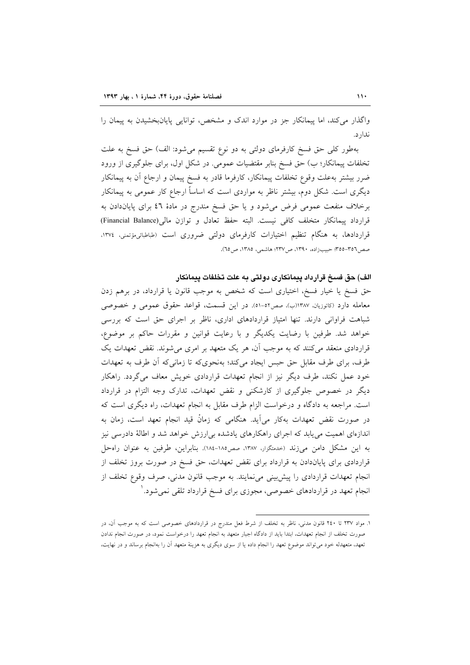واگذار می کند، اما پیمانکار جز در موارد اندک و مشخص، توانایی پایانبخشیدن به پیمان را ندار د.

بهطور کلی حق فسخ کارفرمای دولتی به دو نوع تقسیم میشود: الف) حق فسخ به علت تخلفات پیمانکار؛ ب) حق فسخ بنابر مقتضیات عمومی. در شکل اول، برای جلوگیری از ورود ضرر بیشتر بهعلت وقوع تخلفات پیمانکار، کارفرما قادر به فسخ پیمان و ارجاع آن به پیمانکار دیگری است. شکل دوم، بیشتر ناظر به مواردی است که اساساً ارجاع کار عمومی به پیمانکار برخلاف منفعت عمومی فرض میشود و یا حق فسخ مندرج در مادهٔ ٤٦ برای پایاندادن به قرارداد ييمانكار متخلف كافي نيست. البته حفظ تعادل و توازن مالي(Financial Balance) قراردادها، به هنگام تنظیم اختیارات کارفرمای دولتی ضروری است (طباطبائی وتمنی، ۱۳۷٤، صص٢٥٦-٣٥٥؛ حبيبزاده، ١٣٩٠، ص١٣٧٢؛ هاشمي، ١٣٨٥، ص٢٥).

#### الف) حق فسخ قرارداد پیمانکاری دولتی به علت تخلفات پیمانکار

حق فسخ یا خیار فسخ، اختیاری است که شخص به موجب قانون یا قرارداد، در برهم زدن معامله دارد (کاتوزیان، ۱۳۸۷(ب)، صص٥٢-٥١). در این قسمت، قواعد حقوق عمومی و خصوصی شباهت فراوانی دارند. تنها امتیاز قراردادهای اداری، ناظر بر اجرای حق است که بررسی خواهد شد. طرفین با رضایت یکدیگر و با رعایت قوانین و مقررات حاکم بر موضوع، قراردادی منعقد میکنند که به موجب آن، هر یک متعهد بر امری میشوند. نقض تعهدات یک طرف، برای طرف مقابل حق حبس ایجاد میکند؛ بهنحویکه تا زمانی که آن طرف به تعهدات خود عمل نکند، طرف دیگر نیز از انجام تعهدات قراردادی خویش معاف میگردد. راهکار دیگر در خصوص جلوگیری از کارشکنی و نقض تعهدات، تدارک وجه التزام در قرارداد است. مراجعه به دادگاه و درخواست الزام طرف مقابل به انجام تعهدات، راه دیگری است که در صورت نقض تعهدات بهكار مي∫يد. هنگامي كه زمانْ قيد انجام تعهد است، زمان به اندازهای اهمیت می یابد که اجرای راهکارهای یادشده بی|رزش خواهد شد و اطالهٔ دادرسی نیز به این مشکل دامن می;ند (حدمتگزار، ۱۳۸۷، صص۱۸۵-۱۸٤). بنابراین، طرفین به عنوان راهحل قراردادی برای پایاندادن به قرارداد برای نقض تعهدات، حق فسخ در صورت بروز تخلف از انجام تعهدات قراردادی را پیش بینی می نمایند. به موجب قانون مدنی، صرف وقوع تخلف از انجام تعهد در قراردادهای خصوصی، مجوزی برای فسخ قرارداد تلقی نمیشود.<sup>\</sup>

۱. مواد ۲۳۷ تا ۲٤۰ قانون مدنی، ناظر به تخلف از شرط فعل مندرج در قراردادهای خصوصی است که به موجب آن، در صورت تخلف از انجام تعهدات، ابتدا باید از دادگاه اجبار متعهد به انجام تعهد را درخواست نمود، در صورت انجام ندادن تعهد، متعهدله خود می تواند موضوع تعهد را انجام داده یا از سوی دیگری به هزینهٔ متعهد آن را بهانجام برساند و در نهایت،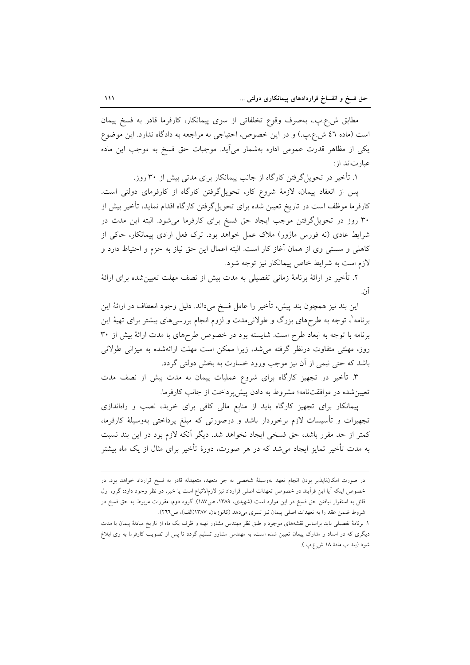مطابق ش.ع.بِ.، بهصرف وقوع تخلفاتي از سوى پيمانكار، كارفرما قادر به فسخ پيمان است (ماده ٤٦ ش.ع.ب) و در اين خصوص، احتياجي به مراجعه به دادگاه ندارد. اين موضوع یکی از مظاهر قدرت عمومی اداره بهشمار می اید. موجبات حق فسخ به موجب این ماده عبارت اند از:

۱. تأخیر در تحویل گرفتن کارگاه از جانب پیمانکار برای مدتی بیش از ۳۰ روز.

پس از انعقاد پیمان، لازمهٔ شروع کار، تحویل گرفتن کارگاه از کارفرمای دولتی است. کارفرما موظف است در تاریخ تعیین شده برای تحویل گرفتن کارگاه اقدام نماید، تأخیر بیش از ۳۰ روز در تحویل گرفتن موجب ایجاد حق فسخ برای کارفرما می شود. البته این مدت در شرایط عادی (نه فورس ماژور) ملاک عمل خواهد بود. ترک فعل ارادی پیمانکار، حاکی از كاهلي و سستي وي از همان آغاز كار است. البته اعمال اين حق نياز به حزم و احتياط دارد و لازم است به شرایط خاص پیمانکار نیز توجه شود.

۲. تأخیر در ارائهٔ برنامهٔ زمانی تفصیلی به مدت بیش از نصف مهلت تعیینشده برای ارائهٔ آن.

این بند نیز همچون بند پیش، تأخیر را عامل فسخ میداند. دلیل وجود انعطاف در ارائهٔ این برنامه'، توجه به طرحهای بزرگ و طولانیمدت و لزوم انجام بررسیهای بیشتر برای تهیهٔ این برنامه با توجه به ابعاد طرح است. شایسته بود در خصوص طرحهای با مدت ارائهٔ بیش از ۳۰ روز، مهلتی متفاوت درنظر گرفته می شد، زیرا ممکن است مهلت ارائهشده به میزانی طولانی باشد که حتی نیمی از آن نیز موجب ورود خسارت به بخش دولتی گردد.

۳. تأخیر در تجهیز کارگاه برای شروع عملیات پیمان به مدت بیش از نصف مدت تعیین شده در موافقتنامه؛ مشروط به دادن پیش پرداخت از جانب کارفرما.

ییمانکار برای تجهیز کارگاه باید از منابع مالی کافی برای خرید، نصب و راهاندازی تجهیزات و تأسیسات لازم برخوردار باشد و درصورتی که مبلغ پرداختی بهوسیلهٔ کارفرما، كمتر از حد مقرر باشد، حق فسخى ايجاد نخواهد شد. ديگر آنكه لازم بود در اين بند نسبت به مدت تأخیر تمایز ایجاد می شد که در هر صورت، دورهٔ تأخیر برای مثال از یک ماه بیشتر

در صورت امکاننایذیر بودن انجام تعهد بهوسیلهٔ شخصی به جز متعهد، متعهدله قادر به فسخ قرارداد خواهد بود. در خصوص اينكه آيا اين فرآيند در خصوص تعهدات اصلى قرارداد نيز لازم|لاتباع است يا خير، دو نظر وجود دارد: گروه اول قائل به استقرار نیافتن حق فسخ در این موارد است (شهیدی، ۱۳۸۹، ص۱۸۷). گروه دوم، مقررات مربوط به حق فسخ در شروط ضمن عقد را به تعهدات اصلی پیمان نیز تسری میدهد (کاتوزیان، ۱۳۸۷(الف)، ص۲۱٦).

۱. برنامهٔ تفصیلی باید براساس نقشههای موجود و طبق نظر مهندس مشاور تهیه و ظرف یک ماه از تاریخ مبادلهٔ پیمان یا مدت دیگری که در اسناد و مدارک پیمان تعیین شده است، به مهندس مشاور تسلیم گردد تا پس از تصویب کارفرما به وی ابلاغ شود (بند ب مادهٔ ۱۸ ش.ع.پ.).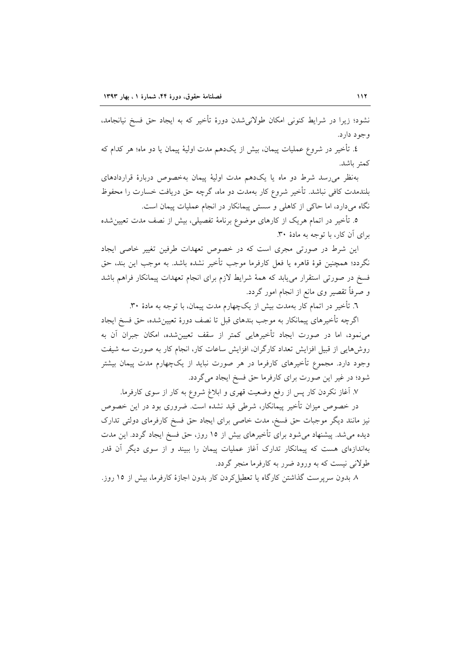نشود؛ زیرا در شرایط کنونی امکان طولانی شدن دورهٔ تأخیر که به ایجاد حق فسخ نیانجامد، و جو د دار د.

٤. تأخير در شروع عمليات پيمان، بيش از يکدهم مدت اوليهٔ پيمان يا دو ماه؛ هر کدام که كمتر باشد.

بهنظر می رسد شرط دو ماه یا یکدهم مدت اولیهٔ پیمان بهخصوص دربارهٔ قراردادهای بلندمدت کافی نباشد. تأخیر شروع کار بهمدت دو ماه، گرچه حق دریافت خسارت را محفوظ نگاه میدارد، اما حاکی از کاهلی و سستی پیمانکار در انجام عملیات پیمان است.

٥. تأخیر در اتمام هریک از کارهای موضوع برنامهٔ تفصیلی، بیش از نصف مدت تعیین شده برای آن کار، با توجه به مادهٔ ۳۰.

این شرط در صورتی مجری است که در خصوص تعهدات طرفین تغییر خاصی ایجاد نگردد؛ همچنین قوهٔ قاهره یا فعل کارفرما موجب تأخیر نشده باشد. به موجب این بند، حق فسخ در صورتی استقرار میbبابد که همهٔ شرایط لازم برای انجام تعهدات پیمانکار فراهم باشد و صرفاً تقصیر وی مانع از انجام امور گردد.

٦. تأخیر در اتمام کار بهمدت بیش از یکچهارم مدت پیمان، با توجه به مادهٔ ۳۰.

اگرچه تأخیرهای پیمانکار به موجب بندهای قبل تا نصف دورهٔ تعیینشده، حق فسخ ایجاد می نمود، اما در صورت ایجاد تأخیرهایی کمتر از سقف تعیین شده، امکان جبران آن به روشهایی از قبیل افزایش تعداد کارگران، افزایش ساعات کار، انجام کار به صورت سه شیفت وجود دارد. مجموع تأخیرهای کارفرما در هر صورت نباید از یکچهارم مدت پیمان بیشتر شود؛ در غیر این صورت برای کارفرما حق فسخ ایجاد می گردد.

۷. أغاز نكردن كار پس از رفع وضعيت قهري و ابلاغ شروع به كار از سوي كارفرما.

در خصوص میزان تأخیر پیمانکار، شرطی قید نشده است. ضروری بود در این خصوص نیز مانند دیگر موجبات حق فسخ، مدت خاصی برای ایجاد حق فسخ کارفرمای دولتی تدارک دیده میشد. پیشنهاد میشود برای تأخیرهای بیش از ۱۵ روز، حق فسخ ایجاد گردد. این مدت بهاندازهای هست که پیمانکار تدارک آغاز عملیات پیمان را ببیند و از سوی دیگر آن قدر طولاني نيست كه به ورود ضرر به كارفرما منجر گردد.

٨. بدون سرپرست گذاشتن کارگاه یا تعطیل کردن کار بدون اجازهٔ کارفرما، بیش از ١٥ روز.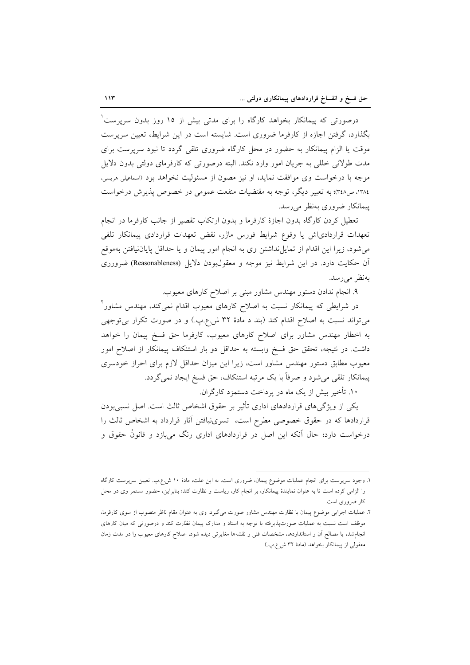درصورتی که پیمانکار بخواهد کارگاه را برای مدتی بیش از ۱۵ روز بدون سرپرست ٔ بگذارد، گرفتن اجازه از کارفرما ضروری است. شایسته است در این شرایط، تعیین سرپرست موقت یا الزام پیمانکار به حضور در محل کارگاه ضروری تلقی گردد تا نبود سرپرست برای مدت طولانی خللی به جریان امور وارد نکند. البته درصورتی که کارفرمای دولتی بدون دلایل موجه با درخواست وی موافقت نماید، او نیز مصون از مسئولیت نخواهد بود (اسماعیلی هریسی، ۱۳۸٤، ص۳٤۸؛ به تعبیر دیگر، توجه به مقتضیات منفعت عمومی در خصوص پذیرش درخواست پیمانکار ضروری بهنظر میرسد.

تعطیل کردن کارگاه بدون اجازهٔ کارفرما و بدون ارتکاب تقصیر از جانب کارفرما در انجام تعهدات قراردادىاش يا وقوع شرايط فورس ماژر، نقض تعهدات قراردادى پيمانكار تلقى می شود، زیرا این اقدام از تمایل نداشتن وی به انجام امور پیمان و یا حداقل پایان نیافتن بهموقع آن حکایت دارد. در این شرایط نیز موجه و معقول بودن دلایل (Reasonableness) ضرورری بەنظر مىرسد.

۹. انجام ندادن دستور مهندس مشاور مبنی بر اصلاح کارهای معیوب.

در شرایطی که پیمانکار نسبت به اصلاح کارهای معیوب اقدام نمی کند، مهندس مشاور ٔ می تواند نسبت به اصلاح اقدام کند (بند د مادهٔ ۳۲ ش.ع.پ.) و در صورت تکرار بی توجهی به اخطار مهندس مشاور برای اصلاح کارهای معیوب، کارفرما حق فسخ پیمان را خواهد داشت. در نتیجه، تحقق حق فسخ وابسته به حداقل دو بار استنکاف پیمانکار از اصلاح امور معیوب مطابق دستور مهندس مشاور است، زیرا این میزان حداقل لازم برای احراز خودسری پیمانکار تلقی می شود و صرفاً با یک مرتبه استنکاف، حق فسخ ایجاد نمی گردد.

۱۰. تأخیر بیش از یک ماه در پرداخت دستمزد کارگران.

یکم از ویژگی های قراردادهای اداری تأثیر بر حقوق اشخاص ثالث است. اصل نسبیبودن قراردادها كه در حقوق خصوصى مطرح است، تسرى نيافتن آثار قرارداد به اشخاص ثالث را درخواست دارد؛ حال آنکه این اصل در قراردادهای اداری رنگ میبازد و قانونْ حقوق و

۱. وجود سرپرست برای انجام عملیات موضوع پیمان، ضروری است. به این علت، مادهٔ ۱۰ ش.ع.ب. تعیین سرپرست کارگاه را الزامی کرده است تا به عنوان نمایندهٔ پیمانکار، بر انجام کار، ریاست و نظارت کند؛ بنابراین، حضور مستمر وی در محل کار ضروری است.

۲. عملیات اجرایی موضوع پیمان با نظارت مهندس مشاور صورت میگیرد. وی به عنوان مقام ناظر منصوب از سوی کارفرما، موظف است نسبت به عملیات صورتپذیرفته با توجه به اسناد و مدارک پیمان نظارت کند و درصورتی که میان کارهای انجامشده یا مصالح آن و استانداردها، مشخصات فنی و نقشهها مغایرتی دیده شود، اصلاح کارهای معیوب را در مدت زمان معقولي از پيمانكار بخواهد (مادهٔ ۳۲ ش.ع.پ.).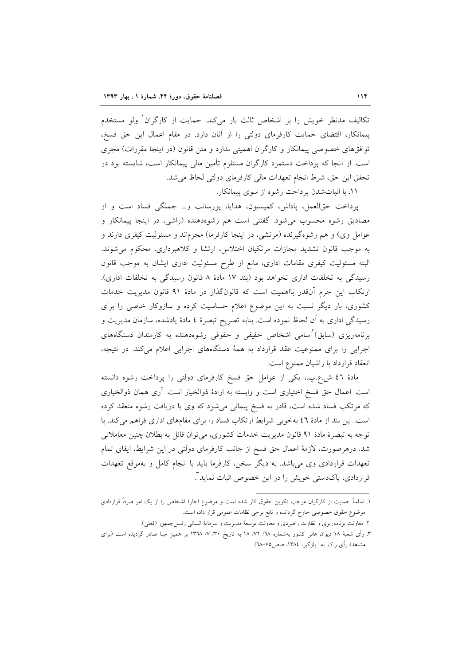تکالیف مدنظر خویش را بر اشخاص ثالث بار میکند. حمایت از کارگران<sup>۱</sup> ولو مستخدم پیمانکار، اقتضای حمایت کارفرمای دولتی را از آنان دارد. در مقام اعمال این حق فسخ، توافقهای خصوصی پیمانکار و کارگران اهمیتی ندارد و متن قانون (در اینجا مقررات) مجری است. از آنجا که پرداخت دستمزد کارگران مستلزم تأمین مالی پیمانکار است، شایسته بود در تحقق اين حق، شرط انجام تعهدات مالي كارفرماي دولتي لحاظ مي شد.

١١. با اثبات شدن پرداخت رشوه از سوى پيمانكار.

یرداخت حقالعمل، یاداش، کمیسیون، هدایا، پورسانت و... جملگی فساد است و از مصادیق رشوه محسوب می شود. گفتنی است هم رشوهدهنده (راشی، در اینجا پیمانکار و عوامل وی) و هم رشوهگیرنده (مرتشی، در اینجا کارفرما) مجرماند و مسئولیت کیفری دارند و به موجب قانون تشدید مجازات مرتکبان اختلاس، ارتشا و کلاهبرداری، محکوم می شوند. البته مسئولیت کیفری مقامات اداری، مانع از طرح مسئولیت اداری ایشان به موجب قانون رسیدگی به تخلفات اداری نخواهد بود (بند ١٧ مادهٔ ٨ قانون رسیدگی به تخلفات اداری). ارتکاب این جرم آنقدر بااهمیت است که قانونگذار در مادهٔ ۹۱ قانون مدیریت خدمات کشوری، بار دیگر نسبت به این موضوع اعلام حساسیت کرده و سازوکار خاصی را برای رسیدگی اداری به آن لحاظ نموده است. بنابه تصریح تبصرهٔ ٤ مادهٔ یادشده، سازمان مدیریت و برنامهریزی (سابق)<sup>آ</sup>اسامی اشخاص حقیقی و حقوقی رشوهدهنده به کارمندان دستگاههای اجرایی را برای ممنوعیت عقد قرارداد به همهٔ دستگاههای اجرایی اعلام میکند. در نتیجه، انعقاد قرارداد با راشیان ممنوع است.

مادهٔ ٤٦ ش.ع.بِ.، یکی از عوامل حق فسخ کارفرمای دولتی را پرداخت رشوه دانسته است. اعمال حق فسخ اختیاری است و وابسته به ارادهٔ ذوالخیار است. آری همان ذوالخیاری که مرتکب فساد شده است، قادر به فسخ پیمانی میشود که وی با دریافت رشوه منعقد کرده است. این بند از مادهٔ ٤٦ بهخوبی شرایط ارتکاب فساد را برای مقامهای اداری فراهم میکند. با توجه به تبصرهٔ مادهٔ ۹۱ قانون مدیریت خدمات کشوری، می توان قائل به بطلان چنین معاملاتی شد. درهرصورت، لازمهٔ اعمال حق فسخ از جانب کارفرمای دولتی در این شرایط، ایفای تمام تعهدات قراردادی وی می باشد. به دیگر سخن، کارفرما باید با انجام کامل و بهموقع تعهدات قراردادی، پاکدستی خویش را در این خصوص اثبات نماید ؓ.

۱. اساساً حمایت از کارگران موجب تکوین حقوق کار شده است و موضوع اجارهٔ اشخاص را از یک امر صرفاً قراردادی موضوع حقوق خصوصی خارج گردانده و تابع برخی نظامات عمومی قرار داده است.

۲. معاونت برنامهریزی و نظارت راهبردی و معاونت توسعهٔ مدیریت و سرمایهٔ انسانی رئیس جمهور (فعلی).

۳. رأى شعبهٔ ۱۸ ديوان عالى كشور بهشماره ٧٨/ ٧٢ /١٨ به تاريخ ٣٠/ ٧/ ١٣٦٨ بر همين مبنا صادر گرديده است (براى مشاهدهٔ رأی ر.ک. به : بازگیر، ۱۳۸٤، صص۵۷–۳۸).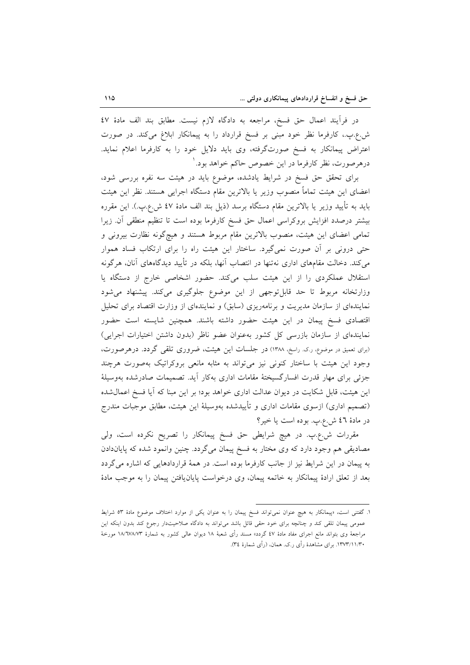در فرآيند اعمال حق فسخ، مراجعه به دادگاه لازم نيست. مطابق بند الف مادهٔ ٤٧ ش.ع.پ.، کارفرما نظر خود مبنی بر فسخ قرارداد را به پیمانکار ابلاغ میکند. در صورت اعتراض پیمانکار به فسخ صورتگرفته، وی باید دلایل خود را به کارفرما اعلام نماید. درهرصورت، نظر کارفرما در این خصوص حاکم خواهد بود.'

برای تحقق حق فسخ در شرایط یادشده، موضوع باید در هیئت سه نفره بررسی شود، اعضای این هیئت تماماً منصوب وزیر یا بالاترین مقام دستگاه اجرایی هستند. نظر این هیئت بايد به تأييد وزير يا بالاترين مقام دستگاه برسد (ذيل بند الف مادهٔ ٤٧ ش.ع.ب.). اين مقرره بيشتر درصدد افزايش بروكراسي اعمال حق فسخ كارفرما بوده است تا تنظيم منطقى أن. زيرا تمامی اعضای این هیئت، منصوب بالاترین مقام مربوط هستند و هیچگونه نظارت بیرونی و حتی درونی بر آن صورت نمیگیرد. ساختار این هیئت راه را برای ارتکاب فساد هموار می کند. دخالت مقامهای اداری نهتنها در انتصاب آنها، بلکه در تأیید دیدگاههای آنان، هرگونه استقلال عملکردی را از این هیئت سلب میکند. حضور اشخاصی خارج از دستگاه یا وزارتخانه مربوط تا حد قابلٍ توجهي از اين موضوع جلوگيري ميكند. پيشنهاد مي شود نمایندهای از سازمان مدیریت و برنامهریزی (سابق) و نمایندهای از وزارت اقتصاد برای تحلیل اقتصادی فسخ پیمان در این هیئت حضور داشته باشند. همچنین شایسته است حضور نمايندهاي از سازمان بازرسي كل كشور بهعنوان عضو ناظر (بدون داشتن اختيارات اجرايي) (برای تعمیق در موضوع، ر.ک. راسخ، ۱۳۸۸) در جلسات این هیئت، ضروری تلقی گردد. درهرصورت، وجود این هیئت با ساختار کنونی نیز میتواند به مثابه مانعی بروکراتیک بهصورت هرچند جزئی برای مهار قدرت افسار گسیختهٔ مقامات اداری بهکار آید. تصمیمات صادرشده بهوسیلهٔ این هیئت، قابل شکایت در دیوان عدالت اداری خواهد بود؛ بر این مبنا که آیا فسخ اعمال شده (تصمیم اداری) ازسوی مقامات اداری و تأییدشده بهوسیلهٔ این هیئت، مطابق موجبات مندرج در مادهٔ ٤٦ ش.ع.پ. بوده است يا خير؟

مقررات ش.ع.پ. در هیچ شرایطی حق فسخ پیمانکار را تصریح نکرده است، ولی مصادیقی هم وجود دارد که وی مختار به فسخ پیمان میگردد. چنین وانمود شده که پایاندادن به پیمان در این شرایط نیز از جانب کارفرما بوده است. در همهٔ قراردادهایی که اشاره می گردد بعد از تعلق ارادهٔ پیمانکار به خاتمه پیمان، وی درخواست پایان یافتن پیمان را به موجب مادهٔ

۱. گفتنی است، «پیمانکار به هیچ عنوان نمیتواند فسخ پیمان را به عنوان یکی از موارد اختلاف موضوع مادهٔ ٥٣ شرایط عمومی پیمان تلقی کند و چنانچه برای خود حقی قائل باشد میتواند به دادگاه صلاحیتدار رجوع کند بدون اینکه این مراجعهٔ وی بتواند مانع اجرای مفاد مادهٔ ٤٧ گردد» مسند رأی شعبهٔ ١٨ دیوان عالی کشور به شمارهٔ ١٨/٦٧٨/٧٣ مورخهٔ ۱۳۷۳/۱۱/۳۰. برای مشاهدهٔ رأی ر.ک. همان، (رأی شمارهٔ ۳٤).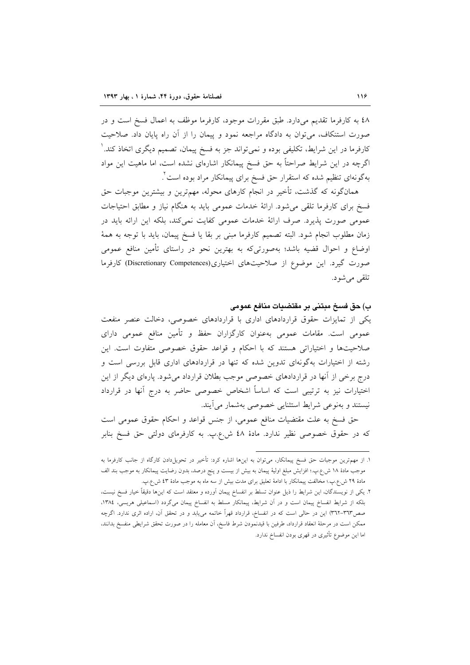٤٨ به كارفرما تقديم ميدارد. طبق مقررات موجود، كارفرما موظف به اعمال فسخ است و در صورت استنکاف، می توان به دادگاه مراجعه نمود و پیمان را از آن راه پایان داد. صلاحیت کارفرما در این شرایط، تکلیفی بوده و نمیتواند جز به فسخ پیمان، تصمیم دیگری اتخاذ کند. ٰ اگرچه در این شرایط صراحتاً به حق فسخ پیمانکار اشارهای نشده است، اما ماهیت این مواد بهگونهای تنظیم شده که استقرار حق فسخ برای پیمانکار مراد بوده است ٔ.

همانگونه که گذشت، تأخیر در انجام کارهای محوله، مهمترین و بیشترین موجبات حق فسخ برای کارفرما تلقی می شود. ارائهٔ خدمات عمومی باید به هنگام نیاز و مطابق احتیاجات عمومی صورت پذیرد. صرف ارائهٔ خدمات عمومی کفایت نمی کند، بلکه این ارائه باید در زمان مطلوب انجام شود. البته تصميم كارفرما مبنى بر بقا يا فسخ پيمان، بايد با توجه به همهٔ اوضاع و احوال قضیه باشد؛ بهصورتیکه به بهترین نحو در راستای تأمین منافع عمومی صورت گیرد. این موضوع از صلاحیتهای اختیاری(Discretionary Competences) کارفرما تلقى مىشود.

#### ب) حق فسخ مبتني بر مقتضيات منافع عمومي

یکی از تمایزات حقوق قراردادهای اداری با قراردادهای خصوصی، دخالت عنصر منفعت عمومی است. مقامات عمومی بهعنوان کارگزاران حفظ و تأمین منافع عمومی دارای صلاحیتها و اختیاراتی هستند که با احکام و قواعد حقوق خصوصی متفاوت است. این رشته از اختیارات بهگونهای تدوین شده که تنها در قراردادهای اداری قابل بررسی است و درج برخی از آنها در قراردادهای خصوصی موجب بطلان قرارداد میشود. پارهای دیگر از این اختیارات نیز به ترتیبی است که اساساً اشخاص خصوصی حاضر به درج آنها در قرارداد نیستند و بهنوعی شرایط استثنایی خصوصی بهشمار میآیند.

حق فسخ به علت مقتضیات منافع عمومی، از جنس قواعد و احکام حقوق عمومی است که در حقوق خصوصی نظیر ندارد. مادهٔ ٤٨ ش.ع.پ. به کارفرمای دولتی حق فسخ بنابر

۱. از مهمترین موجبات حق فسخ پیمانکار، میتوان به اینها اشاره کرد: تأخیر در تحویل،دادن کارگاه از جانب کارفرما به موجب مادهٔ ۱۸ ش.ع.پ.؛ افزایش مبلغ اولیهٔ پیمان به بیش از بیست و پنج درصد، بدون رضایت پیمانکار به موجب بند الف مادهٔ ۲۹ ش.ع.پ؛ مخالفت پیمانکار با ادامهٔ تعلیق برای مدت بیش از سه ماه به موجب مادهٔ ٤٣ ش.ع.پ.

۲. یکی از نویسندگان، این شرایط را ذیل عنوان تسلط بر انفساخ پیمان آورده و معتقد است که اینها دقیقاً خیار فسخ نیست، بلکه از شرایط انفساخ پیمان است و در آن شرایط، پیمانکار مسلط به انفساخ پیمان میگردد (اسماعیلی هریسی، ۱۳۸٤، صص۳٦۳–۳٦٢) این در حالی است که در انفساخ، قرارداد قهراً خاتمه میbیابد و در تحقق آن، اراده اثری ندارد. اگرچه ممکن است در مرحلهٔ انعقاد قرارداد، طرفین با قیدنمودن شرط فاسخ، آن معامله را در صورت تحقق شرایطی منفسخ بدانند، اما اين موضوع تأثيري در قهري بودن انفساخ ندارد.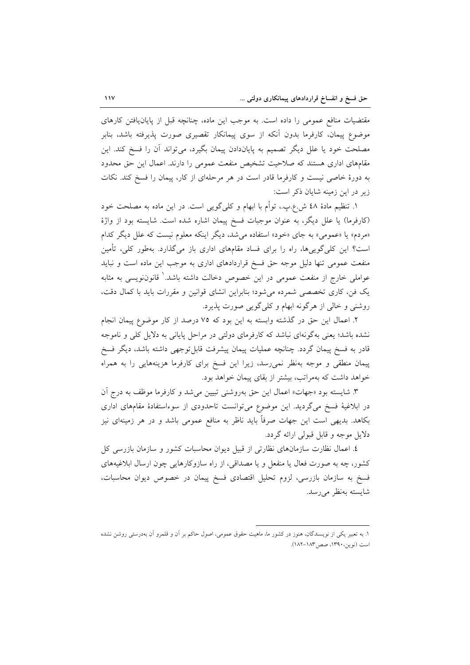مقتضیات منافع عمومی را داده است. به موجب این ماده، چنانچه قبل از پایان یافتن کارهای موضوع پیمان، کارفرما بدون اّنکه از سوی پیمانکار تقصیری صورت پذیرفته باشد، بنابر مصلحت خود یا علل دیگر تصمیم به پایاندادن پیمان بگیرد، میتواند آن را فسخ کند. این مقامهای اداری هستند که صلاحیت تشخیص منفعت عمومی را دارند. اعمال این حق محدود به دورهٔ خاصی نیست و کارفرما قادر است در هر مرحلهای از کار، پیمان را فسخ کند. نکات زیر در این زمینه شایان ذکر است:

١. تنظيم مادهٔ ٤٨ ش.ع.پ.، توأم با ابهام و كليگويي است. در اين ماده به مصلحت خود (کارفرما) یا علل دیگر، به عنوان موجبات فسخ پیمان اشاره شده است. شایسته بود از واژهٔ «مردم» یا «عمومی» به جای «خود» استفاده میشد، دیگر اینکه معلوم نیست که علل دیگر کدام است؟ این کل<sub>ی </sub>گوی<sub>ح</sub>ها، راه را برای فساد مقامهای اداری باز میگذارد. بهطور کلی، تأمین منفعت عمومی تنها دلیل موجه حق فسخ قراردادهای اداری به موجب این ماده است و نباید عواملی خارج از منفعت عمومی در این خصوص دخالت داشته باشد.' قانونiویسی به مثابه یک فن، کاری تخصصی شمرده می شود؛ بنابراین انشای قوانین و مقررات باید با کمال دقت، روشنی و خالی از هرگونه ابهام و کلی گویی صورت پذیرد.

٢. اعمال این حق در گذشته وابسته به این بود که ٧٥ درصد از کار موضوع پیمان انجام نشده باشد؛ یعنی بهگونهای نباشد که کارفرمای دولتی در مراحل پایانی به دلایل کلی و ناموجه قادر به فسخ پیمان گردد. چنانچه عملیات پیمان پیشرفت قابل توجهی داشته باشد، دیگر فسخ پیمان منطقی و موجه بهنظر نمی رسد، زیرا این فسخ برای کارفرما هزینههایی را به همراه خواهد داشت که بهمراتب، بیشتر از بقای پیمان خواهد بود.

۳. شایسته بود «جهات» اعمال این حق بهروشنی تبیین میشد و کارفرما موظف به درج آن در ابلاغیهٔ فسخ میگردید. این موضوع میتوانست تاحدودی از سوءاستفادهٔ مقامهای اداری بکاهد. بدیهی است این جهات صرفاً باید ناظر به منافع عمومی باشد و در هر زمینهای نیز دلایل موجه و قابل قبولی ارائه گردد.

٤. اعمال نظارت سازمانهای نظارتی از قبیل دیوان محاسبات کشور و سازمان بازرسی کل کشور، چه به صورت فعال یا منفعل و یا مصداقی، از راه سازوکارهایی چون ارسال ابلاغیههای فسخ به سازمان بازرسی، لزوم تحلیل اقتصادی فسخ پیمان در خصوص دیوان محاسبات، شايسته بەنظر مى رسد.

١. به تعبیر یکی از نویسندگان، هنوز در کشور ما، ماهیت حقوق عمومی، اصول حاکم بر آن و قلمرو آن بهدرستی روشن نشده است (نوین، ۱۳۹۰، صص۱۸۳–۱۸۲).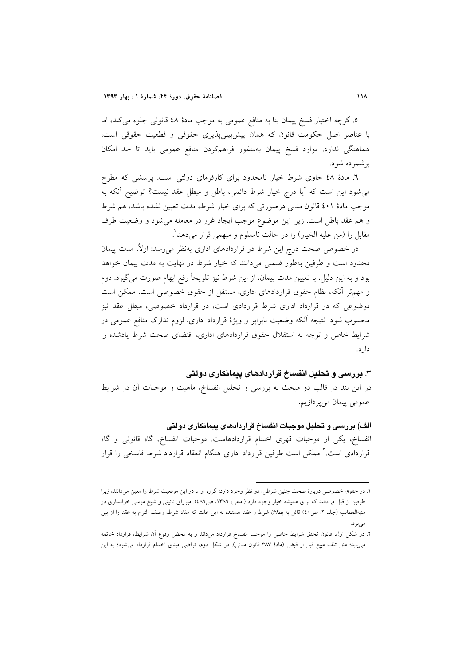٥. گرچه اختیار فسخ پیمان بنا به منافع عمومی به موجب مادهٔ ٤٨ قانونی جلوه می کند، اما با عناصر اصل حکومت قانون که همان پیش بینی پذیری حقوقی و قطعیت حقوقی است، هماهنگی ندارد. موارد فسخ پیمان بهمنظور فراهمکردن منافع عمومی باید تا حد امکان بر شمر ده شو د.

٦. مادهٔ ٤٨ حاوى شرط خيار نامحدود براى كارفرماى دولتى است. پرسشى كه مطرح می شود این است که آیا درج خیار شرط دائمی، باطل و مبطل عقد نیست؟ توضیح آنکه به موجب مادهٔ ٤٠١ قانون مدنی درصورتی که برای خیار شرط، مدت تعیین نشده باشد، هم شرط و هم عقد باطل است. زیرا این موضوع موجب ایجاد غرر در معامله می شود و وضعیت طرف مقابل را (من عليه الخيار) را در حالت نامعلوم و مبهمي قرار مي دهد ْ.

در خصوص صحت درج این شرط در قراردادهای اداری بهنظر می رسد: اولاً، مدت پیمان محدود است و طرفین بهطور ضمنی میدانند که خیار شرط در نهایت به مدت پیمان خواهد بود و به این دلیل، با تعیین مدت پیمان، از این شرط نیز تلویحاً رفع ابهام صورت می گیرد. دوم و مهم تر آنکه، نظام حقوق قراردادهای اداری، مستقل از حقوق خصوصی است. ممکن است موضوعی که در قرارداد اداری شرط قراردادی است، در قرارداد خصوصی، مبطل عقد نیز محسوب شود. نتیجه آنکه وضعیت نابرابر و ویژهٔ قرارداد اداری، لزوم تدارک منافع عمومی در شرایط خاص و توجه به استقلال حقوق قراردادهای اداری، اقتضای صحت شرط یادشده را دار د.

۳. بررسی و تحلیل انفساخ قراردادهای پیمانکاری دولتی

در این بند در قالب دو مبحث به بررسی و تحلیل انفساخ، ماهیت و موجبات آن در شرایط عمومي پيمان مي پردازيم.

الف) بررسی و تحلیل موجبات انفساخ قراردادهای پیمانکاری دولتی

انفساخ، يكي از موجبات قهري اختتام قراردادهاست. موجبات انفساخ، گاه قانوني و گاه قراردادی است.<sup>۲</sup> ممکن است طرفین قرارداد اداری هنگام انعقاد قرارداد شرط فاسخی را قرار

۱. در حقوق خصوصی دربارهٔ صحت چنین شرطی، دو نظر وجود دارد: گروه اول، در این موقعیت شرط را معین میدانند، زیرا طرفین از قبل میدانند که برای همیشه خیار وجود دارد (امامی، ۱۳۸۹، ص۶۸۹). میرزای نائینی و شیخ موسی خوانساری در منیهالمطالب (جلد ۲، ص٤٠) قائل به بطلان شرط و عقد هستند، به این علت که مفاد شرط، وصف التزام به عقد را از بین

۲. در شکل اول، قانون تحقق شرایط خاصی را موجب انفساخ قرارداد میداند و به محض وقوع آن شرایط، قرارداد خاتمه می یابد؛ مثل تلف مبیع قبل از قبض (مادهٔ ۳۸۷ قانون مدنی). در شکل دوم، تراضی مبنای اختتام قرارداد می شود؛ به این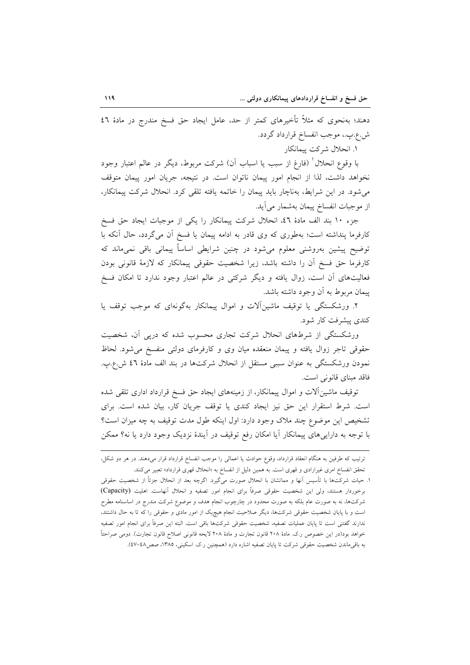دهند؛ بهنحوی که مثلاً تأخیرهای کمتر از حد، عامل ایجاد حق فسخ مندرج در مادهٔ ٤٦ ش.ع.پ.، موجب انفساخ قرارداد گردد.

۱. انحلال شركت پيمانكار

با وقوع انحلال ٰ (فارغ از سبب یا اسباب آن) شرکت مربوط، دیگر در عالم اعتبار وجود نخواهد داشت، لذا از انجام امور پیمان ناتوان است. در نتیجه، جریان امور پیمان متوقف میشود. در این شرایط، بهناچار باید پیمان را خاتمه یافته تلقی کرد. انحلال شرکت پیمانکار، از موجبات انفساخ پیمان بهشمار می آید.

جزء ١٠ بند الف مادة ٤٦، انحلال شركت پيمانكار را يكي از موجبات ايجاد حق فسخ کارفرما پنداشته است؛ بهطوری که وی قادر به ادامه پیمان یا فسخ آن میگردد، حال آنکه با توضیح پیشین بهروشنی معلوم میشود در چنین شرایطی اساساً پیمانی باقی نمی،ماند که كارفرما حق فسخ آن را داشته باشد، زيرا شخصيت حقوقي ييمانكار كه لازمة قانوني بودن فعالیتهای آن است، زوال یافته و دیگر شرکتی در عالم اعتبار وجود ندارد تا امکان فسخ پیمان مربوط به آن وجود داشته باشد.

۲. ورشکستگی یا توقیف ماشینآلات و اموال پیمانکار بهگونهای که موجب توقف یا کندی پیشرفت کار شود.

ورشکستگی از شرطهای انحلال شرکت تجاری محسوب شده که درپی آن، شخصیت حقوقی تاجر زوال یافته و پیمان منعقده میان وی و کارفرمای دولتی منفسخ میشود. لحاظ نمودن ورشکستگی به عنوان سببی مستقل از انحلال شرکتها در بند الف مادهٔ ٤٦ ش.ع.پ. فاقد مبنای قانونی است.

توقیف ماشینآلات و اموال پیمانکار، از زمینههای ایجاد حق فسخ قرارداد اداری تلقی شده است. شرط استقرار این حق نیز ایجاد کندی یا توقف جریان کار، بیان شده است. برای تشخيص اين موضوع چند ملاک وجود دارد: اول اينکه طول مدت توقيف به چه ميزان است؟ با توجه به داراییهای پیمانکار اَیا امکان رفع توقیف در اَیندهٔ نزدیک وجود دارد یا نه؟ ممکن

ترتیب که طرفین به هنگام انعقاد قرارداد، وقوع حوادث یا اعمالی را موجب انفساخ قرارداد قرار میدهند. در هر دو شکل، تحقق انفساخ امری غیرارادی و قهری است. به همین دلیل از انفساخ به «انحلال قهری قرارداد» تعبیر میکنند.

١. حيات شركتها با تأسيس آنها و مماتشان با انحلال صورت ميگيرد. اگرچه بعد از انحلال جزئاً از شخصيت حقوقي برخوردار هستند، ولي اين شخصيت حقوقي صرفاً براى انجام امور تصفيه و انحلال أنهاست. اهليت (Capacity) شرکتها، نه به صورت عام بلکه به صورت محدود در چارچوب انجام هدف و موضوع شرکت مندرج در اساسنامه مطرح است و با پایان شخصیت حقوقی شرکتها، دیگر صلاحیت انجام هیچیک از امور مادی و حقوقی را که تا به حال داشتند، ندارند گفتنی است تا پایان عملیات تصفیه، شخصیت حقوقی شرکتها باقی است. البته این صرفاً برای انجام امور تصفیه خواهد بود(در این خصوص ر.ک. مادهٔ ۲۰۸ قانون تجارت و مادهٔ ۲۰۸ لایحه قانونی اصلاح قانون تجارت). دومی صراحتاً به باقیماندن شخصیت حقوقی شرکت تا پایان تصفیه اشاره دارد (همچنین ر.ک. اسکینی، ۱۳۸۵، صص٤٨-٤٧).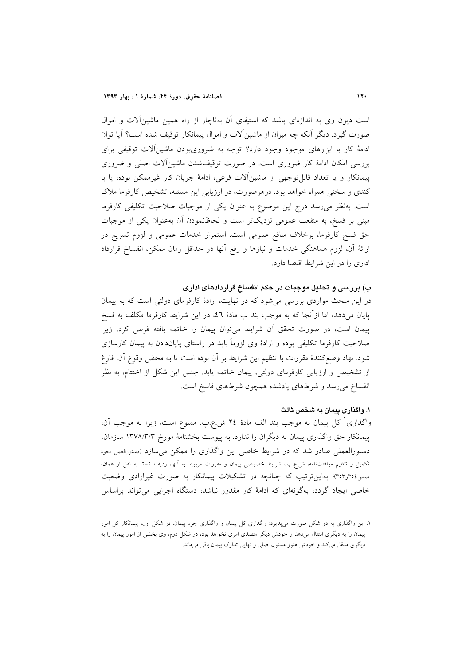است دیون وی به اندازهای باشد که استیفای آن بهناچار از راه همین ماشینآلات و اموال صورت گیرد. دیگر آنکه چه میزان از ماشینآلات و اموال پیمانکار توقیف شده است؟ آیا توان ادامهٔ کار با ابزارهای موجود وجود دارد؟ توجه به ضروریبودن ماشینآلات توقیفی برای بررسی امکان ادامهٔ کار ضروری است. در صورت توقیفشدن ماشینآلات اصلی و ضروری پیمانکار و یا تعداد قابل توجهی از ماشین آلات فرعی، ادامهٔ جریان کار غیرممکن بوده، یا با کندی و سختی همراه خواهد بود. درهرصورت، در ارزیابی این مسئله، تشخیص کارفرما ملاک است. بهنظر میرسد درج این موضوع به عنوان یکی از موجبات صلاحیت تکلیفی کارفرما مبنی بر فسخ، به منفعت عمومی نزدیکتر است و لحاظنمودن آن بهعنوان یکی از موجبات حق فسخ کارفرما، برخلاف منافع عمومی است. استمرار خدمات عمومی و لزوم تسریع در ارائهٔ آن، لزوم هماهنگی خدمات و نیازها و رفع آنها در حداقل زمان ممکن، انفساخ قرارداد اداری را در این شرایط اقتضا دارد.

# ب) بررسی و تحلیل موجبات در حکم انفساخ قراردادهای اداری

در این مبحث مواردی بررسی می شود که در نهایت، ارادهٔ کارفرمای دولتی است که به پیمان پایان میدهد، اما ازأنجا که به موجب بند ب مادهٔ ٤٦، در این شرایط کارفرما مکلف به فسخ پیمان است، در صورت تحقق آن شرایط می توان پیمان را خاتمه یافته فرض کرد، زیرا صلاحیت کارفرما تکلیفی بوده و ارادهٔ وی لزوماً باید در راستای پایاندادن به پیمان کارسازی شود. نهاد وضع كنندهٔ مقررات با تنظیم این شرایط بر آن بوده است تا به محض وقوع آن، فارغ از تشخیص و ارزیابی کارفرمای دولتی، پیمان خاتمه یابد. جنس این شکل از اختتام، به نظر انفساخ می رسد و شرطهای یادشده همچون شرطهای فاسخ است.

## ١. واگذاری پیمان به شخص ثالث

واگذاری کل پیمان به موجب بند الف مادهٔ ۲٤ ش.ع.پ. ممنوع است، زیرا به موجب آن، پیمانکار حق واگذاری پیمان به دیگران را ندارد. به پیوست بخشنامهٔ مورخ ۱۳۷۸/۳/۳ سازمان، دستورالعملی صادر شد که در شرایط خاصی این واگذاری را ممکن میسازد (دستورالعمل نحوهٔ تکمیل و تنظیم موافقتنامه، ش.ع.بِ.، شرایط خصوصی پیمان و مقررات مربوط به آنها، ردیف ۲-۲، به نقل از همان، صص٢٥٤(٣٥٣)؛ بهاین ترتیب که چنانچه در تشکیلات پیمانکار به صورت غیرارادی وضعیت خاصی ایجاد گردد، بهگونهای که ادامهٔ کار مقدور نباشد، دستگاه اجرایی می تواند براساس

۱. این واگذاری به دو شکل صورت می،پذیرد: واگذاری کل پیمان و واگذاری جزء پیمان. در شکل اول، پیمانکار کل امور پیمان را به دیگری انتقال میدهد و خودش دیگر متصدی امری نخواهد بود، در شکل دوم، وی بخشی از امور پیمان را به دیگری منتقل میکند و خودش هنوز مسئول اصلی و نهایی تدارک پیمان باقی میماند.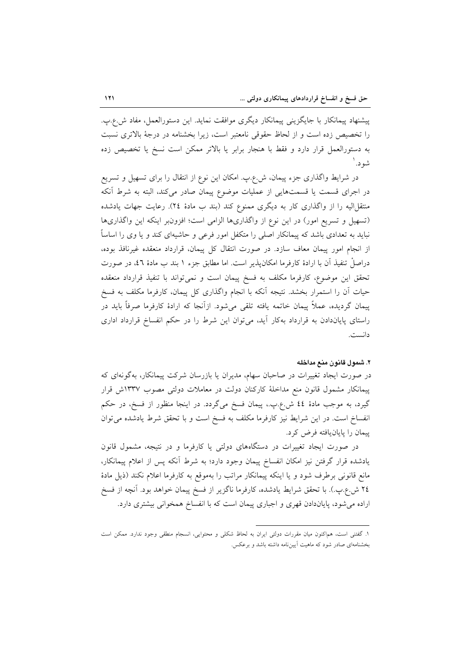پیشنهاد پیمانکار با جایگزینی پیمانکار دیگری موافقت نماید. این دستورالعمل، مفاد ش.ع.پ. را تخصیص زده است و از لحاظ حقوقی نامعتبر است، زیرا بخشنامه در درجهٔ بالاتری نسبت به دستورالعمل قرار دارد و فقط با هنجار برابر یا بالاتر ممکن است نسخ یا تخصیص زده شه د. ۱

در شرایط واگذاری جزء پیمان، ش.ع.ب. امکان این نوع از انتقال را برای تسهیل و تسریع در اجرای قسمت یا قسمتهایی از عملیات موضوع پیمان صادر میکند، البته به شرط آنکه منتقل[لیه را از واگذاری کار به دیگری ممنوع کند (بند ب مادهٔ ٢٤). رعایت جهات یادشده (تسهیل و تسریع امور) در این نوع از واگذاریها الزامی است؛ افزون بر اینکه این واگذاریها نباید به تعدادی باشد که پیمانکار اصلی را متکفل امور فرعی و حاشیهای کند و یا وی را اساساً از انجام امور پیمان معاف سازد. در صورت انتقال کل پیمان، قرارداد منعقده غیرنافذ بوده، دراصلٌ تنفيذ آن با ارادهٔ كارفرما امكان،يذير است. اما مطابق جزء ١ بند ب مادهٔ ٤٦، در صورت تحقق این موضوع، کارفرما مکلف به فسخ پیمان است و نمیتواند با تنفیذ قرارداد منعقده حیات آن را استمرار بخشد. نتیجه آنکه با انجام واگذاری کل پیمان، کارفرما مکلف به فسخ پیمان گردیده، عملاً پیمان خاتمه یافته تلقی میشود. ازآنجا که ارادهٔ کارفرما صرفاً باید در راستای پایاندادن به قرارداد بهکار آید، میتوان این شرط را در حکم انفساخ قرارداد اداری دانست.

#### ٢. شمول قانون منع مداخله

در صورت ایجاد تغییرات در صاحبان سهام، مدیران یا بازرسان شرکت پیمانکار، بهگونهای که پیمانکار مشمول قانون منع مداخلهٔ کارکنان دولت در معاملات دولتی مصوب ۱۳۳۷ش قرار گیرد، به موجب مادهٔ ٤٤ ش.ع.پ.، پیمان فسخ میگردد. در اینجا منظور از فسخ، در حکم انفساخ است. در این شرایط نیز کارفرما مکلف به فسخ است و با تحقق شرط یادشده می توان پیمان را پایانیافته فرض کرد.

در صورت ایجاد تغییرات در دستگاههای دولتی یا کارفرما و در نتیجه، مشمول قانون یادشده قرار گرفتن نیز امکان انفساخ پیمان وجود دارد؛ به شرط آنکه پس از اعلام پیمانکار، مانع قانونی برطرف شود و یا اینکه پیمانکار مراتب را بهموقع به کارفرما اعلام نکند (ذیل مادهٔ ٢٤ ش.ع.پ.). با تحقق شرايط يادشده، كارفرما ناگزير از فسخ پيمان خواهد بود. آنچه از فسخ اراده میشود، پایاندادن قهری و اجباری پیمان است که با انفساخ همخوانی بیشتری دارد.

١. گفتنی است، هماکنون میان مقررات دولتی ایران به لحاظ شکلی و محتوایی، انسجام منطقی وجود ندارد. ممکن است بخشنامهای صادر شود که ماهیت آییننامه داشته باشد و برعکس.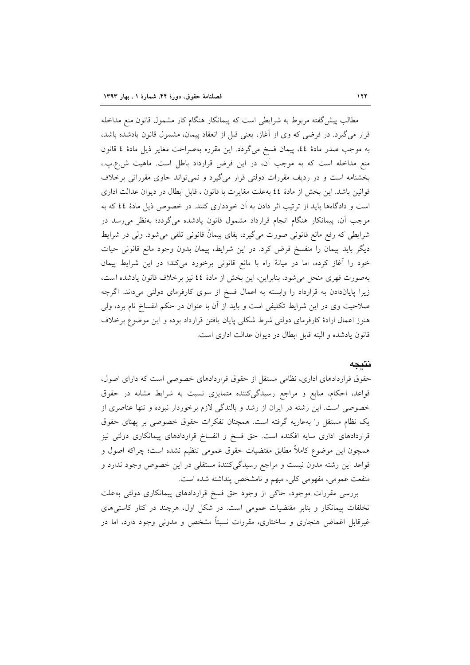مطالب پیش گفته مربوط به شرایطی است که پیمانکار هنگام کار مشمول قانون منع مداخله قرار می گیرد. در فرضی که وی از آغاز، یعنی قبل از انعقاد پیمان، مشمول قانون یادشده باشد، به موجب صدر مادة ٤٤، پيمان فسخ مي گردد. اين مقرره بهصراحت مغاير ذيل مادة ٤ قانون منع مداخله است که به موجب آن، در این فرض قرارداد باطل است. ماهیت ش.ع.پ.، بخشنامه است و در ردیف مقررات دولتی قرار میگیرد و نمیتواند حاوی مقرراتی برخلاف قوانین باشد. این بخش از مادهٔ ٤٤ به علت مغایرت با قانون ، قابل ابطال در دیوان عدالت اداری است و دادگاهها باید از ترتیب اثر دادن به آن خودداری کنند. در خصوص ذیل مادهٔ ٤٤ که به موجب آن، پیمانکار هنگام انجام قرارداد مشمول قانون یادشده میگردد؛ بهنظر می رسد در شرایطی که رفع مانع قانونی صورت میگیرد، بقای پیمانْ قانونی تلقی میشود. ولی در شرایط دیگر باید پیمان را منفسخ فرض کرد. در این شرایط، پیمان بدون وجود مانع قانونی حیات خود را آغاز کرده، اما در میانهٔ راه با مانع قانونی برخورد میکند؛ در این شرایط پیمان بهصورت قهری منحل میشود. بنابراین، این بخش از مادهٔ ٤٤ نیز برخلاف قانون یادشده است، زیرا پایاندادن به قرارداد را وابسته به اعمال فسخ از سوی کارفرمای دولتی میداند. اگرچه صلاحیت وی در این شرایط تکلیفی است و باید از آن با عنوان در حکم انفساخ نام برد، ولی هنوز اعمال ارادهٔ کارفرمای دولتی شرط شکلی پایان یافتن قرارداد بوده و این موضوع برخلاف قانون یادشده و البته قابل ابطال در دیوان عدالت اداری است.

### نتىجە

حقوق قراردادهای اداری، نظامی مستقل از حقوق قراردادهای خصوصی است که دارای اصول، قواعد، احکام، منابع و مراجع رسیدگی کننده متمایزی نسبت به شرایط مشابه در حقوق خصوصی است. این رشته در ایران از رشد و بالندگی لازم برخوردار نبوده و تنها عناصری از یک نظام مستقل را بهعاریه گرفته است. همچنان تفکرات حقوق خصوصی بر پهنای حقوق قراردادهای اداری سایه افکنده است. حق فسخ و انفساخ قراردادهای پیمانکاری دولتی نیز همچون این موضوع کاملاً مطابق مقتضیات حقوق عمومی تنظیم نشده است؛ چراکه اصول و قواعد این رشته مدون نیست و مراجع رسیدگیکنندهٔ مستقلی در این خصوص وجود ندارد و منفعت عمومي، مفهومي كلي، مبهم و نامشخص پنداشته شده است.

بررسی مقررات موجود، حاکی از وجود حق فسخ قراردادهای پیمانکاری دولتی بهعلت تخلفات پیمانکار و بنابر مقتضیات عمومی است. در شکل اول، هرچند در کنار کاستی های غیرقابل اغماض هنجاری و ساختاری، مقررات نسبتاً مشخص و مدونی وجود دارد، اما در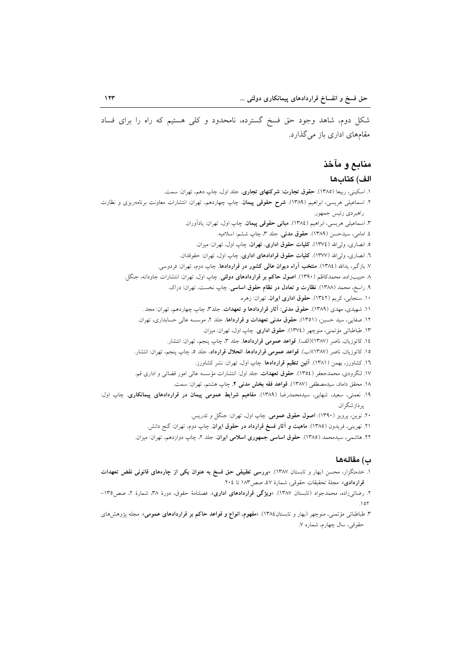شکل دوم، شاهد وجود حق فسخ گسترده، نامحدود و کلی هستیم که راه را برای فساد مقامهای اداری باز می گذارد.

# منابع و مآخذ

## الف) كتابها

۱. اسکینی، ربیعا (۱۳۸۵). **حقوق تجارت: شرکتهای تجاری**. جلد اول، چاپ دهم، تهران: سمت. ۲. اسماعیلی هریسی، ابراهیم (۱۳۸۹). **شرح حقوقی پیمان**. چاپ چهاردهم، تهران: انتشارات معاونت برنامهریزی و نظارت راهبردي رئيس جمهور. ۳. اسماعیلی هریسی، ابراهیم (١٣٨٤). **مبانی حقوقی پیمان**. چاپ اول، تهران: یادآوران. ٤. امامي، سيدحسن (١٣٨٩). حقوق مدنى. جلد ٣، چاپ ششم: اسلاميه. ۵. انصاری، ولیالله (١٣٧٤). کلیات حقوق اداری. تهران، چاپ اول، تهران: میزان. ٦. انصاري، ولي الله (١٣٧٧). كليات حقوق قرادادهاي اداري. چاپ اول، تهران: حقوقدان. ۷. بازگیر، یدالله (۱۳۸٤). منتخب آ**راء دیوان عالمی کشور در قراردادها**. چاپ دوم، تهران: فردوسی. ۸ حبیبزاده، محمدکاظم (۱۳۹۰). <mark>اصول حاکم بر قراردادهای دولتی</mark>. چاپ اول، تهران: انتشارات جاودانه، جنگل. ۹. راسخ، محمد (۱۳۸۸). **نظارت و تعادل در نظام حقوق اساسی**. چاپ نخست، تهران: دراک. ۱۰. سنجابی، کریم (۱۳٤۲). حقوق اداری ایران. تهران: زهره. ۱۱. شهیدی، مهدی (۱۳۸۹). **حقوق مدنی: آثار قراردادها و تعهدات**. جلد۳، چاپ چهاردهم، تهران: مجد . ۱۲. صفایی، سید حسین، (۱۳۵۱). **حقوق مدنی تعهدات و قرارداها**. جلد ۲، موسسه عالی حسابداری، تهران. ۱۳. طباطبائ<sub>ی</sub> مؤتمنی، منوچهر (١٣٧٤). حقوق اداری. چاپ اول، تهران: ميزان. ١٤. كاتوزيان، ناصر (١٣٨٧)(الف). قواعد عمومي قراردادها. جلد ٣، چاپ پنجم، تهران: انتشار. ١٥. كاتوزيان، ناصر (١٣٨٧)(ب). قواعد عمومي قراردادها. انحلال قرارداد، جلد ٥، جاب ينجم، تهران: انتشار. ۱٦. کشاورز، بهمن (۱۳۸۱). **آئین تنظیم قراردادها**. چاپ اول، تهران: نشر کشاورز. ۱۷. لنگرودی، محمدجعفر (۱۳۵٤). **حقوق تعهدات**. جلد اول: انتشارات مؤسسه عالی امور قضائی و اداری قم. ۱۸. محقق داماد، سیدمصطفی (۱۳۸۷). ق<mark>واعد فقه بخش مدنی ۲</mark>. چاپ هشتم، تهران: سمت. ۱۹. نعمتی، سعید، شهابی، سیدمحمدرضا (۱۳۸۹). مفاهیم شرایط عمومی پیمان در قراردادهای پیمانکاری. چاپ اول: پردازشگران. ۲۰. نوین، پرویز (۱۳۹۰). **اصول حقوق عمومی**. چاپ اول، تهران: جنگل و تدریس. ۲۱. نهرینی، فریدون (۱۳۸۵). م**اهیت و آثار فسخ قرارداد در حقوق ایران**. چاپ دوم، تهران: گنج دانش. ۲۲. هاشمی، سیدمحمد (۱۳۸۵). حقوق ا**ساسی جمهوری اسلامی ایران**. جلد ۲، چاپ دوازدهم، تهران: میزان.

#### ب) مقالهها

- ۱. خدمتگزار، محسن (بهار و تابستان ۱۳۸۷). «بررسی <mark>تطبیقی حق فسخ به عنوان یکی از چارههای قانونی نقض تعهدات</mark> قراردادي». مجلة تحقيقات حقوقي، شمارة ٤٧، صص١٨٣ تا ٢٠٤.
- ۲. رضائ<sub>ی</sub>زاده، محمدجواد (تابستان ۱۳۸۷). «ویژگی قراردادهای اداری». فصلنامهٔ حقوق، دورهٔ ۳۸، شمارهٔ ۲، صص۱۳۵- $\lambda$
- ۳. طباطبائی مؤتمنی، منوچهر (بهار و تابستان۱۳۸٤). «مفهوم، انواع و قواعد حاکم بر قراردادهای عمومی». مجله پژوهشرهای حقوقي، سال چهارم، شماره ٧.